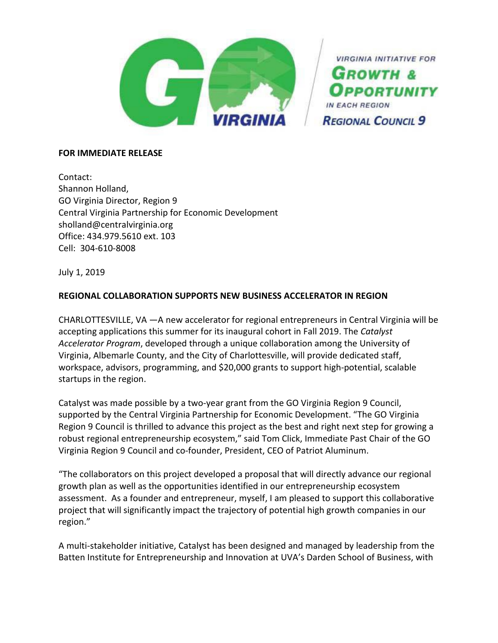

**VIRGINIA INITIATIVE FOR GROWTH & PORTUNITY REGIONAL COUNCIL 9** 

### **FOR IMMEDIATE RELEASE**

Contact: Shannon Holland, GO Virginia Director, Region 9 Central Virginia Partnership for Economic Development sholland@centralvirginia.org Office: 434.979.5610 ext. 103 Cell: 304-610-8008

July 1, 2019

# **REGIONAL COLLABORATION SUPPORTS NEW BUSINESS ACCELERATOR IN REGION**

CHARLOTTESVILLE, VA —A new accelerator for regional entrepreneurs in Central Virginia will be accepting applications this summer for its inaugural cohort in Fall 2019. The *Catalyst Accelerator Program*, developed through a unique collaboration among the University of Virginia, Albemarle County, and the City of Charlottesville, will provide dedicated staff, workspace, advisors, programming, and \$20,000 grants to support high-potential, scalable startups in the region.

Catalyst was made possible by a two-year grant from the GO Virginia Region 9 Council, supported by the Central Virginia Partnership for Economic Development. "The GO Virginia Region 9 Council is thrilled to advance this project as the best and right next step for growing a robust regional entrepreneurship ecosystem," said Tom Click, Immediate Past Chair of the GO Virginia Region 9 Council and co-founder, President, CEO of Patriot Aluminum.

"The collaborators on this project developed a proposal that will directly advance our regional growth plan as well as the opportunities identified in our entrepreneurship ecosystem assessment. As a founder and entrepreneur, myself, I am pleased to support this collaborative project that will significantly impact the trajectory of potential high growth companies in our region."

A multi-stakeholder initiative, Catalyst has been designed and managed by leadership from the Batten Institute for Entrepreneurship and Innovation at UVA's Darden School of Business, with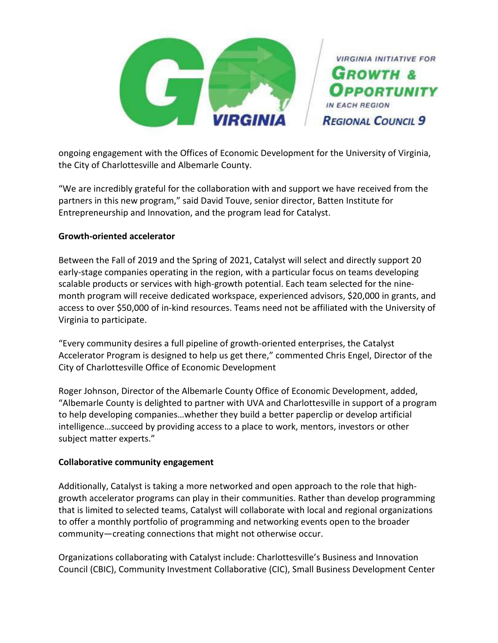

ongoing engagement with the Offices of Economic Development for the University of Virginia, the City of Charlottesville and Albemarle County.

"We are incredibly grateful for the collaboration with and support we have received from the partners in this new program," said David Touve, senior director, Batten Institute for Entrepreneurship and Innovation, and the program lead for Catalyst.

# **Growth-oriented accelerator**

Between the Fall of 2019 and the Spring of 2021, Catalyst will select and directly support 20 early-stage companies operating in the region, with a particular focus on teams developing scalable products or services with high-growth potential. Each team selected for the ninemonth program will receive dedicated workspace, experienced advisors, \$20,000 in grants, and access to over \$50,000 of in-kind resources. Teams need not be affiliated with the University of Virginia to participate.

"Every community desires a full pipeline of growth-oriented enterprises, the Catalyst Accelerator Program is designed to help us get there," commented Chris Engel, Director of the City of Charlottesville Office of Economic Development

Roger Johnson, Director of the Albemarle County Office of Economic Development, added, "Albemarle County is delighted to partner with UVA and Charlottesville in support of a program to help developing companies…whether they build a better paperclip or develop artificial intelligence…succeed by providing access to a place to work, mentors, investors or other subject matter experts."

### **Collaborative community engagement**

Additionally, Catalyst is taking a more networked and open approach to the role that highgrowth accelerator programs can play in their communities. Rather than develop programming that is limited to selected teams, Catalyst will collaborate with local and regional organizations to offer a monthly portfolio of programming and networking events open to the broader community—creating connections that might not otherwise occur.

Organizations collaborating with Catalyst include: Charlottesville's Business and Innovation Council (CBIC), Community Investment Collaborative (CIC), Small Business Development Center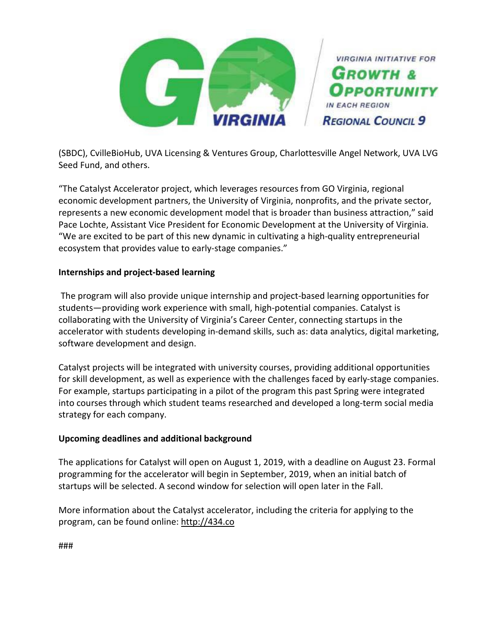

(SBDC), CvilleBioHub, UVA Licensing & Ventures Group, Charlottesville Angel Network, UVA LVG Seed Fund, and others.

"The Catalyst Accelerator project, which leverages resources from GO Virginia, regional economic development partners, the University of Virginia, nonprofits, and the private sector, represents a new economic development model that is broader than business attraction," said Pace Lochte, Assistant Vice President for Economic Development at the University of Virginia. "We are excited to be part of this new dynamic in cultivating a high-quality entrepreneurial ecosystem that provides value to early-stage companies."

# **Internships and project-based learning**

The program will also provide unique internship and project-based learning opportunities for students—providing work experience with small, high-potential companies. Catalyst is collaborating with the University of Virginia's Career Center, connecting startups in the accelerator with students developing in-demand skills, such as: data analytics, digital marketing, software development and design.

Catalyst projects will be integrated with university courses, providing additional opportunities for skill development, as well as experience with the challenges faced by early-stage companies. For example, startups participating in a pilot of the program this past Spring were integrated into courses through which student teams researched and developed a long-term social media strategy for each company.

# **Upcoming deadlines and additional background**

The applications for Catalyst will open on August 1, 2019, with a deadline on August 23. Formal programming for the accelerator will begin in September, 2019, when an initial batch of startups will be selected. A second window for selection will open later in the Fall.

More information about the Catalyst accelerator, including the criteria for applying to the program, can be found online: [http://434.co](http://434.co/)

###